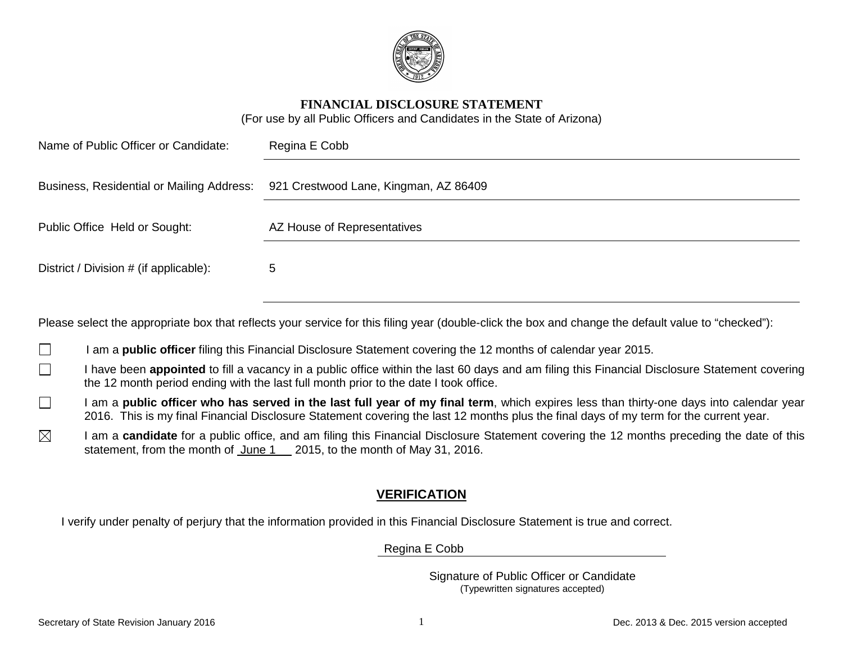

### **FINANCIAL DISCLOSURE STATEMENT**

(For use by all Public Officers and Candidates in the State of Arizona)

| Name of Public Officer or Candidate:   | Regina E Cobb                                                                   |  |
|----------------------------------------|---------------------------------------------------------------------------------|--|
|                                        | Business, Residential or Mailing Address: 921 Crestwood Lane, Kingman, AZ 86409 |  |
| Public Office Held or Sought:          | AZ House of Representatives                                                     |  |
| District / Division # (if applicable): | 5                                                                               |  |

Please select the appropriate box that reflects your service for this filing year (double-click the box and change the default value to "checked"):

I am a **public officer** filing this Financial Disclosure Statement covering the 12 months of calendar year 2015.  $\Box$ 

- $\Box$ I have been **appointed** to fill a vacancy in a public office within the last 60 days and am filing this Financial Disclosure Statement covering the 12 month period ending with the last full month prior to the date I took office.
- I am a **public officer who has served in the last full year of my final term**, which expires less than thirty-one days into calendar year  $\Box$ 2016. This is my final Financial Disclosure Statement covering the last 12 months plus the final days of my term for the current year.
- $\boxtimes$ I am a **candidate** for a public office, and am filing this Financial Disclosure Statement covering the 12 months preceding the date of this statement, from the month of June 1 2015, to the month of May 31, 2016.

# **VERIFICATION**

I verify under penalty of perjury that the information provided in this Financial Disclosure Statement is true and correct.

Regina E Cobb

Signature of Public Officer or Candidate (Typewritten signatures accepted)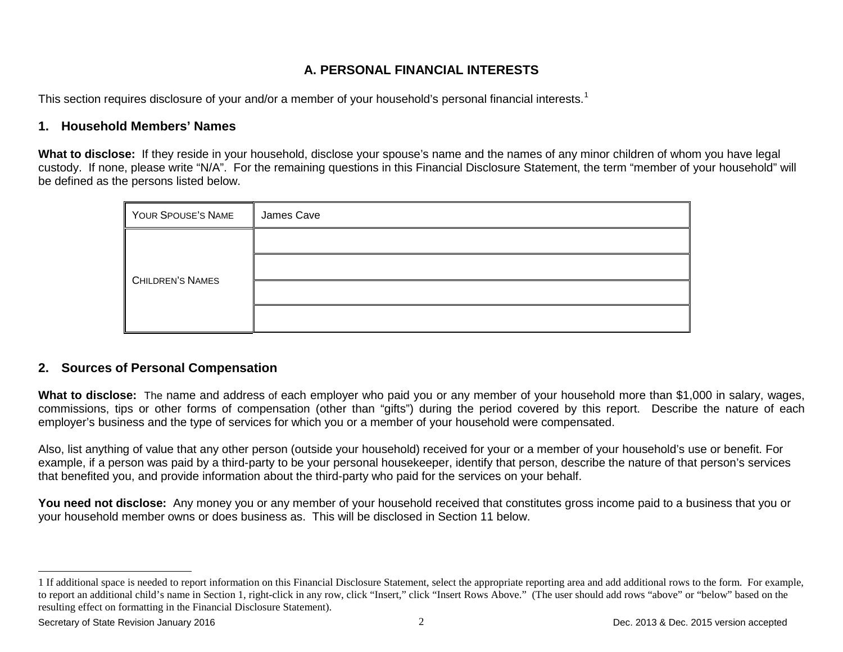# <span id="page-1-0"></span>**A. PERSONAL FINANCIAL INTERESTS**

This section requires disclosure of your and/or a member of your household's personal financial interests.<sup>[1](#page-1-0)</sup>

### **1. Household Members' Names**

**What to disclose:** If they reside in your household, disclose your spouse's name and the names of any minor children of whom you have legal custody. If none, please write "N/A". For the remaining questions in this Financial Disclosure Statement, the term "member of your household" will be defined as the persons listed below.

| YOUR SPOUSE'S NAME      | James Cave |
|-------------------------|------------|
|                         |            |
| <b>CHILDREN'S NAMES</b> |            |
|                         |            |
|                         |            |

### **2. Sources of Personal Compensation**

**What to disclose:** The name and address of each employer who paid you or any member of your household more than \$1,000 in salary, wages, commissions, tips or other forms of compensation (other than "gifts") during the period covered by this report. Describe the nature of each employer's business and the type of services for which you or a member of your household were compensated.

Also, list anything of value that any other person (outside your household) received for your or a member of your household's use or benefit. For example, if a person was paid by a third-party to be your personal housekeeper, identify that person, describe the nature of that person's services that benefited you, and provide information about the third-party who paid for the services on your behalf.

You need not disclose: Any money you or any member of your household received that constitutes gross income paid to a business that you or your household member owns or does business as. This will be disclosed in Section 11 below.

 $\overline{a}$ 

<sup>1</sup> If additional space is needed to report information on this Financial Disclosure Statement, select the appropriate reporting area and add additional rows to the form. For example, to report an additional child's name in Section 1, right-click in any row, click "Insert," click "Insert Rows Above." (The user should add rows "above" or "below" based on the resulting effect on formatting in the Financial Disclosure Statement).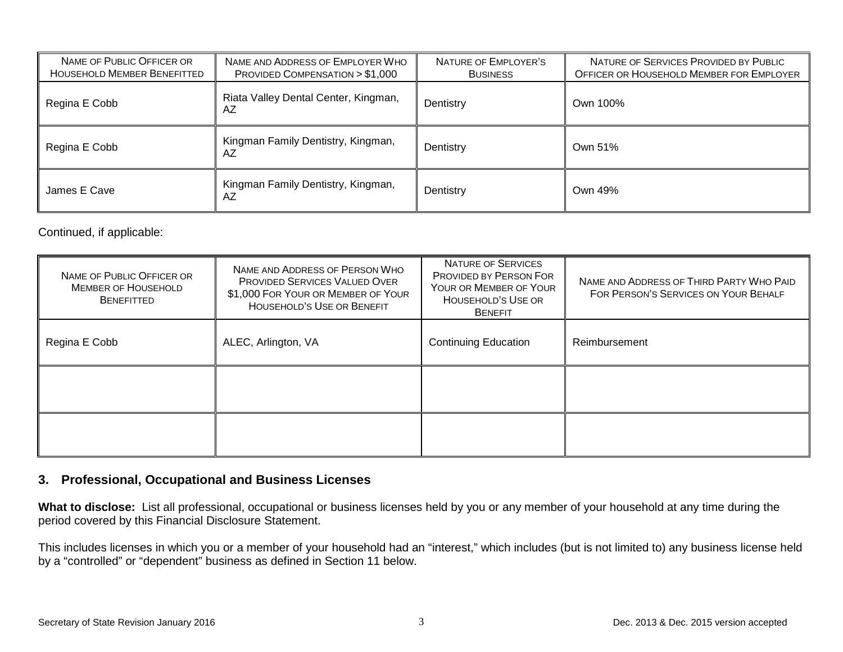| NAME OF PUBLIC OFFICER OR<br><b>HOUSEHOLD MEMBER BENEFITTED</b> | NAME AND ADDRESS OF EMPLOYER WHO<br>PROVIDED COMPENSATION > \$1,000 | NATURE OF EMPLOYER'S<br><b>BUSINESS</b> | NATURE OF SERVICES PROVIDED BY PUBLIC<br>OFFICER OR HOUSEHOLD MEMBER FOR EMPLOYER |
|-----------------------------------------------------------------|---------------------------------------------------------------------|-----------------------------------------|-----------------------------------------------------------------------------------|
| Regina E Cobb                                                   | Riata Valley Dental Center, Kingman,<br>AZ                          | Dentistry                               | Own 100%                                                                          |
| Regina E Cobb                                                   | Kingman Family Dentistry, Kingman,<br>AZ                            | Dentistry                               | Own 51%                                                                           |
| James E Cave                                                    | Kingman Family Dentistry, Kingman,<br>AZ                            | Dentistry                               | Own 49%                                                                           |

Continued, if applicable:

| NAME OF PUBLIC OFFICER OR<br><b>MEMBER OF HOUSEHOLD</b><br><b>BENEFITTED</b> | NAME AND ADDRESS OF PERSON WHO<br><b>PROVIDED SERVICES VALUED OVER</b><br>\$1,000 FOR YOUR OR MEMBER OF YOUR<br><b>HOUSEHOLD'S USE OR BENEFIT</b> | <b>NATURE OF SERVICES</b><br><b>PROVIDED BY PERSON FOR</b><br>YOUR OR MEMBER OF YOUR<br>HOUSEHOLD'S USE OR<br><b>BENEFIT</b> | NAME AND ADDRESS OF THIRD PARTY WHO PAID<br>FOR PERSON'S SERVICES ON YOUR BEHALF |
|------------------------------------------------------------------------------|---------------------------------------------------------------------------------------------------------------------------------------------------|------------------------------------------------------------------------------------------------------------------------------|----------------------------------------------------------------------------------|
| Regina E Cobb                                                                | ALEC, Arlington, VA                                                                                                                               | <b>Continuing Education</b><br>Reimbursement                                                                                 |                                                                                  |
|                                                                              |                                                                                                                                                   |                                                                                                                              |                                                                                  |
|                                                                              |                                                                                                                                                   |                                                                                                                              |                                                                                  |

## **3. Professional, Occupational and Business Licenses**

**What to disclose:** List all professional, occupational or business licenses held by you or any member of your household at any time during the period covered by this Financial Disclosure Statement.

This includes licenses in which you or a member of your household had an "interest," which includes (but is not limited to) any business license held by a "controlled" or "dependent" business as defined in Section 11 below.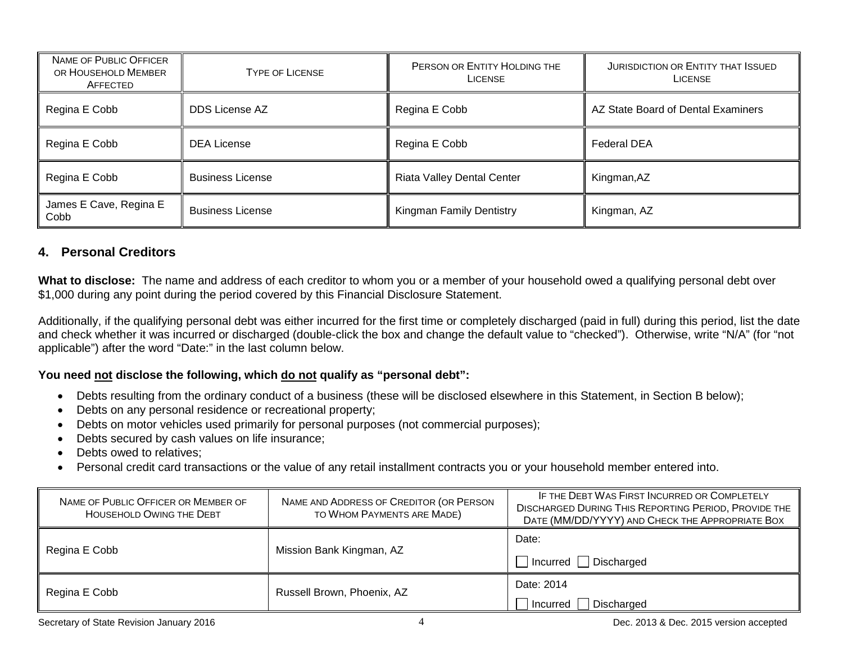| <b>NAME OF PUBLIC OFFICER</b><br>OR HOUSEHOLD MEMBER<br>AFFECTED | <b>TYPE OF LICENSE</b>  | PERSON OR ENTITY HOLDING THE<br><b>LICENSE</b> | <b>JURISDICTION OR ENTITY THAT ISSUED</b><br><b>LICENSE</b> |
|------------------------------------------------------------------|-------------------------|------------------------------------------------|-------------------------------------------------------------|
| Regina E Cobb                                                    | <b>DDS License AZ</b>   | Regina E Cobb                                  | AZ State Board of Dental Examiners                          |
| Regina E Cobb                                                    | <b>DEA License</b>      | Regina E Cobb                                  | <b>Federal DEA</b>                                          |
| Regina E Cobb                                                    | <b>Business License</b> | <b>Riata Valley Dental Center</b>              | Kingman, AZ                                                 |
| James E Cave, Regina E<br>Cobb                                   | <b>Business License</b> | Kingman Family Dentistry                       | Kingman, AZ                                                 |

### **4. Personal Creditors**

**What to disclose:** The name and address of each creditor to whom you or a member of your household owed a qualifying personal debt over \$1,000 during any point during the period covered by this Financial Disclosure Statement.

Additionally, if the qualifying personal debt was either incurred for the first time or completely discharged (paid in full) during this period, list the date and check whether it was incurred or discharged (double-click the box and change the default value to "checked"). Otherwise, write "N/A" (for "not applicable") after the word "Date:" in the last column below.

#### **You need not disclose the following, which do not qualify as "personal debt":**

- Debts resulting from the ordinary conduct of a business (these will be disclosed elsewhere in this Statement, in Section B below);
- Debts on any personal residence or recreational property;
- Debts on motor vehicles used primarily for personal purposes (not commercial purposes);
- Debts secured by cash values on life insurance;
- Debts owed to relatives:
- Personal credit card transactions or the value of any retail installment contracts you or your household member entered into.

| NAME OF PUBLIC OFFICER OR MEMBER OF<br><b>HOUSEHOLD OWING THE DEBT</b> | NAME AND ADDRESS OF CREDITOR (OR PERSON<br>TO WHOM PAYMENTS ARE MADE) | IF THE DEBT WAS FIRST INCURRED OR COMPLETELY<br><b>DISCHARGED DURING THIS REPORTING PERIOD, PROVIDE THE</b><br>DATE (MM/DD/YYYY) AND CHECK THE APPROPRIATE BOX |
|------------------------------------------------------------------------|-----------------------------------------------------------------------|----------------------------------------------------------------------------------------------------------------------------------------------------------------|
|                                                                        |                                                                       | Date:                                                                                                                                                          |
| Regina E Cobb                                                          | Mission Bank Kingman, AZ                                              | $\Box$ Incurred $\Box$ Discharged                                                                                                                              |
| Regina E Cobb                                                          | Russell Brown, Phoenix, AZ                                            | Date: 2014                                                                                                                                                     |
|                                                                        |                                                                       | Discharged<br>l Incurred                                                                                                                                       |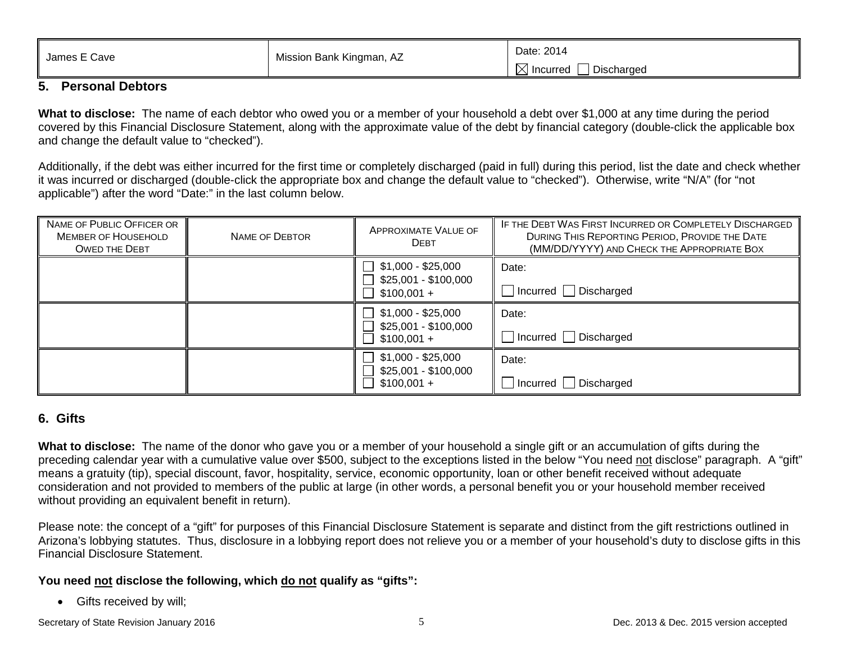| ⊤ Cave<br>James E | Mission Bank Kingman, AZ | Date: 2014                |
|-------------------|--------------------------|---------------------------|
|                   |                          | Discharged<br>1 Incurred∶ |

### **5. Personal Debtors**

**What to disclose:** The name of each debtor who owed you or a member of your household a debt over \$1,000 at any time during the period covered by this Financial Disclosure Statement, along with the approximate value of the debt by financial category (double-click the applicable box and change the default value to "checked").

Additionally, if the debt was either incurred for the first time or completely discharged (paid in full) during this period, list the date and check whether it was incurred or discharged (double-click the appropriate box and change the default value to "checked"). Otherwise, write "N/A" (for "not applicable") after the word "Date:" in the last column below.

| NAME OF PUBLIC OFFICER OR<br><b>MEMBER OF HOUSEHOLD</b><br><b>OWED THE DEBT</b> | NAME OF DEBTOR | APPROXIMATE VALUE OF<br><b>DEBT</b>                                                        | IF THE DEBT WAS FIRST INCURRED OR COMPLETELY DISCHARGED<br>DURING THIS REPORTING PERIOD, PROVIDE THE DATE<br>(MM/DD/YYYY) AND CHECK THE APPROPRIATE BOX |
|---------------------------------------------------------------------------------|----------------|--------------------------------------------------------------------------------------------|---------------------------------------------------------------------------------------------------------------------------------------------------------|
|                                                                                 |                | \$1,000 - \$25,000<br>$\perp$<br>\$25,001 - \$100,000<br>$\Box$<br>$$100,001 +$<br>$\perp$ | Date:<br>$\Box$ Incurred $\Box$ Discharged                                                                                                              |
|                                                                                 |                | \$1,000 - \$25,000<br>$\Box$<br>\$25,001 - \$100,000<br>$$100,001 +$                       | Date:<br>□ Incurred □ Discharged                                                                                                                        |
|                                                                                 |                | $$1,000 - $25,000$<br>\$25,001 - \$100,000<br>$$100,001 +$                                 | Date:<br>$\Box$ Incurred $\Box$ Discharged                                                                                                              |

### **6. Gifts**

**What to disclose:** The name of the donor who gave you or a member of your household a single gift or an accumulation of gifts during the preceding calendar year with a cumulative value over \$500, subject to the exceptions listed in the below "You need not disclose" paragraph. A "gift" means a gratuity (tip), special discount, favor, hospitality, service, economic opportunity, loan or other benefit received without adequate consideration and not provided to members of the public at large (in other words, a personal benefit you or your household member received without providing an equivalent benefit in return).

Please note: the concept of a "gift" for purposes of this Financial Disclosure Statement is separate and distinct from the gift restrictions outlined in Arizona's lobbying statutes. Thus, disclosure in a lobbying report does not relieve you or a member of your household's duty to disclose gifts in this Financial Disclosure Statement.

### **You need not disclose the following, which do not qualify as "gifts":**

• Gifts received by will;

Secretary of State Revision January 2016 **Secretary of State Revision 3** Dec. 2013 & Dec. 2015 version accepted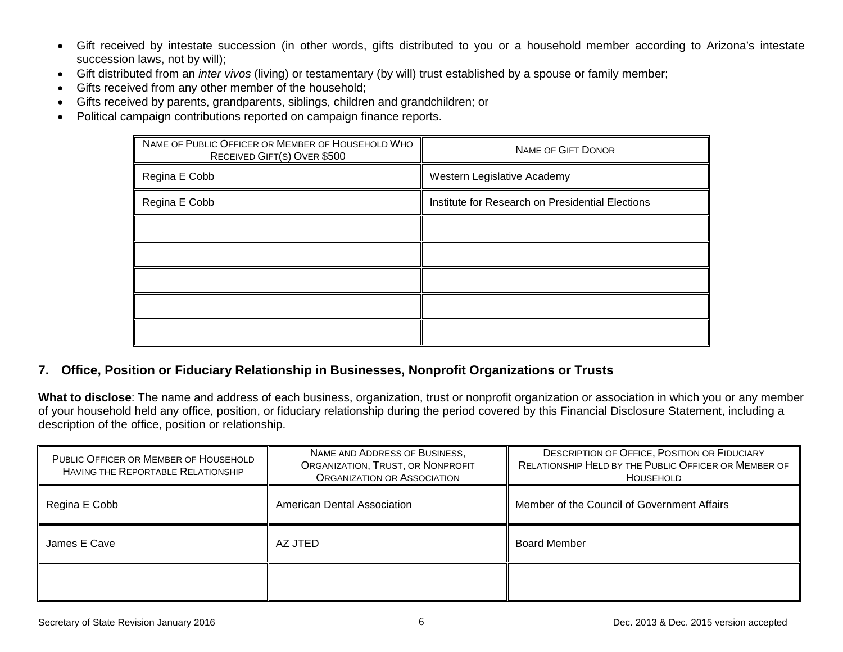- Gift received by intestate succession (in other words, gifts distributed to you or a household member according to Arizona's intestate succession laws, not by will);
- Gift distributed from an *inter vivos* (living) or testamentary (by will) trust established by a spouse or family member;
- Gifts received from any other member of the household;
- Gifts received by parents, grandparents, siblings, children and grandchildren; or
- Political campaign contributions reported on campaign finance reports.

| NAME OF PUBLIC OFFICER OR MEMBER OF HOUSEHOLD WHO<br>RECEIVED GIFT(S) OVER \$500 | <b>NAME OF GIFT DONOR</b>                        |
|----------------------------------------------------------------------------------|--------------------------------------------------|
| Regina E Cobb                                                                    | Western Legislative Academy                      |
| Regina E Cobb                                                                    | Institute for Research on Presidential Elections |
|                                                                                  |                                                  |
|                                                                                  |                                                  |
|                                                                                  |                                                  |
|                                                                                  |                                                  |
|                                                                                  |                                                  |

### **7. Office, Position or Fiduciary Relationship in Businesses, Nonprofit Organizations or Trusts**

**What to disclose**: The name and address of each business, organization, trust or nonprofit organization or association in which you or any member of your household held any office, position, or fiduciary relationship during the period covered by this Financial Disclosure Statement, including a description of the office, position or relationship.

| PUBLIC OFFICER OR MEMBER OF HOUSEHOLD<br><b>HAVING THE REPORTABLE RELATIONSHIP</b> | NAME AND ADDRESS OF BUSINESS,<br>ORGANIZATION, TRUST, OR NONPROFIT<br><b>ORGANIZATION OR ASSOCIATION</b> | <b>DESCRIPTION OF OFFICE, POSITION OR FIDUCIARY</b><br>RELATIONSHIP HELD BY THE PUBLIC OFFICER OR MEMBER OF<br>HOUSEHOLD |
|------------------------------------------------------------------------------------|----------------------------------------------------------------------------------------------------------|--------------------------------------------------------------------------------------------------------------------------|
| Regina E Cobb                                                                      | American Dental Association                                                                              | Member of the Council of Government Affairs                                                                              |
| James E Cave                                                                       | AZ JTED                                                                                                  | <b>Board Member</b>                                                                                                      |
|                                                                                    |                                                                                                          |                                                                                                                          |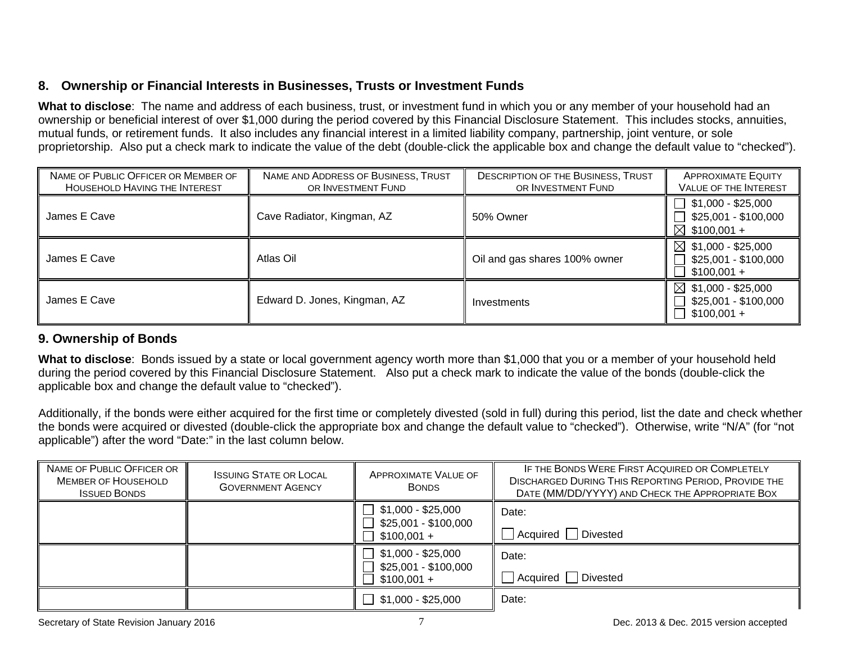## **8. Ownership or Financial Interests in Businesses, Trusts or Investment Funds**

**What to disclose**: The name and address of each business, trust, or investment fund in which you or any member of your household had an ownership or beneficial interest of over \$1,000 during the period covered by this Financial Disclosure Statement. This includes stocks, annuities, mutual funds, or retirement funds. It also includes any financial interest in a limited liability company, partnership, joint venture, or sole proprietorship. Also put a check mark to indicate the value of the debt (double-click the applicable box and change the default value to "checked").

| NAME OF PUBLIC OFFICER OR MEMBER OF<br>HOUSEHOLD HAVING THE INTEREST | NAME AND ADDRESS OF BUSINESS, TRUST<br>OR INVESTMENT FUND | <b>DESCRIPTION OF THE BUSINESS, TRUST</b><br>OR INVESTMENT FUND | <b>APPROXIMATE EQUITY</b><br><b>VALUE OF THE INTEREST</b>                           |
|----------------------------------------------------------------------|-----------------------------------------------------------|-----------------------------------------------------------------|-------------------------------------------------------------------------------------|
| James E Cave                                                         | Cave Radiator, Kingman, AZ                                | 50% Owner                                                       | $\Box$ \$1,000 - \$25,000<br>$\Box$ \$25,001 - \$100,000<br>$\boxtimes$ \$100,001 + |
| James E Cave                                                         | Atlas Oil                                                 | Oil and gas shares 100% owner                                   | $\boxtimes$ \$1,000 - \$25,000<br>\$25,001 - \$100,000<br>$$100,001 +$              |
| James E Cave                                                         | Edward D. Jones, Kingman, AZ                              | Investments                                                     | $$1,000 - $25,000$<br>$\bowtie$<br>\$25,001 - \$100,000<br>$$100,001 +$             |

## **9. Ownership of Bonds**

**What to disclose**: Bonds issued by a state or local government agency worth more than \$1,000 that you or a member of your household held during the period covered by this Financial Disclosure Statement. Also put a check mark to indicate the value of the bonds (double-click the applicable box and change the default value to "checked").

Additionally, if the bonds were either acquired for the first time or completely divested (sold in full) during this period, list the date and check whether the bonds were acquired or divested (double-click the appropriate box and change the default value to "checked"). Otherwise, write "N/A" (for "not applicable") after the word "Date:" in the last column below.

| NAME OF PUBLIC OFFICER OR<br><b>MEMBER OF HOUSEHOLD</b><br><b>ISSUED BONDS</b> | <b>ISSUING STATE OR LOCAL</b><br><b>GOVERNMENT AGENCY</b> | <b>APPROXIMATE VALUE OF</b><br><b>BONDS</b>                                 | IF THE BONDS WERE FIRST ACQUIRED OR COMPLETELY<br><b>DISCHARGED DURING THIS REPORTING PERIOD, PROVIDE THE</b><br>DATE (MM/DD/YYYY) AND CHECK THE APPROPRIATE BOX |
|--------------------------------------------------------------------------------|-----------------------------------------------------------|-----------------------------------------------------------------------------|------------------------------------------------------------------------------------------------------------------------------------------------------------------|
|                                                                                |                                                           | \$1,000 - \$25,000<br>$\Box$<br>\$25,001 - \$100,000<br>$$100,001 +$        | Date:<br>Acquired<br>Divested                                                                                                                                    |
|                                                                                |                                                           | \$1,000 - \$25,000<br>$\mathcal{L}$<br>\$25,001 - \$100,000<br>$$100,001 +$ | Date:<br><b>Divested</b><br>Acquired                                                                                                                             |
|                                                                                |                                                           | $\Box$ \$1,000 - \$25,000                                                   | Date:                                                                                                                                                            |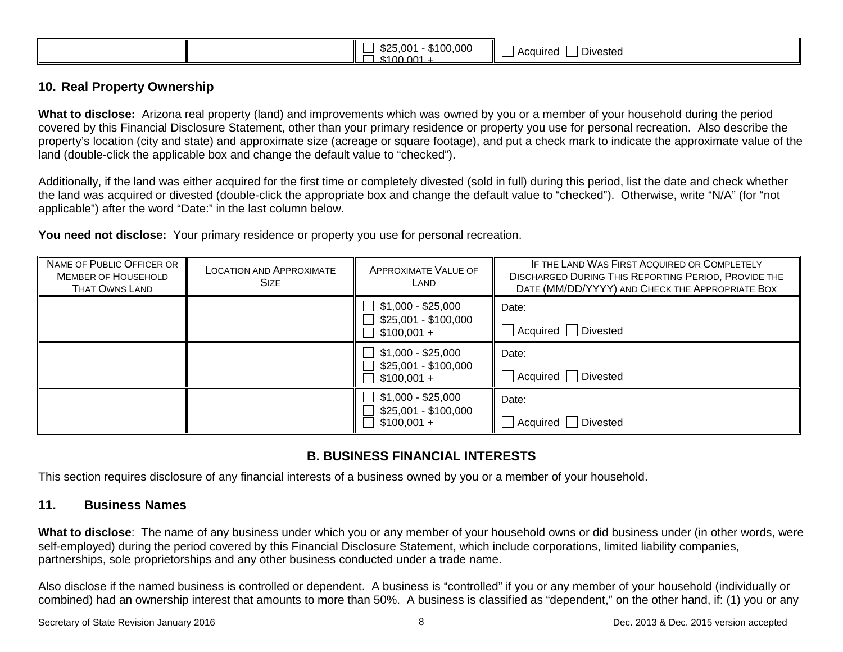|--|

#### **10. Real Property Ownership**

**What to disclose:** Arizona real property (land) and improvements which was owned by you or a member of your household during the period covered by this Financial Disclosure Statement, other than your primary residence or property you use for personal recreation. Also describe the property's location (city and state) and approximate size (acreage or square footage), and put a check mark to indicate the approximate value of the land (double-click the applicable box and change the default value to "checked").

Additionally, if the land was either acquired for the first time or completely divested (sold in full) during this period, list the date and check whether the land was acquired or divested (double-click the appropriate box and change the default value to "checked"). Otherwise, write "N/A" (for "not applicable") after the word "Date:" in the last column below.

**You need not disclose:** Your primary residence or property you use for personal recreation.

| NAME OF PUBLIC OFFICER OR<br><b>MEMBER OF HOUSEHOLD</b><br><b>THAT OWNS LAND</b> | <b>LOCATION AND APPROXIMATE</b><br><b>SIZE</b> | APPROXIMATE VALUE OF<br>LAND                               | IF THE LAND WAS FIRST ACQUIRED OR COMPLETELY<br><b>DISCHARGED DURING THIS REPORTING PERIOD, PROVIDE THE</b><br>DATE (MM/DD/YYYY) AND CHECK THE APPROPRIATE BOX |
|----------------------------------------------------------------------------------|------------------------------------------------|------------------------------------------------------------|----------------------------------------------------------------------------------------------------------------------------------------------------------------|
|                                                                                  |                                                | $$1,000 - $25,000$<br>\$25,001 - \$100,000<br>$$100,001 +$ | Date:<br>Acquired  <br>Divested                                                                                                                                |
|                                                                                  |                                                | $$1,000 - $25,000$<br>\$25,001 - \$100,000<br>$$100,001 +$ | Date:<br>Acquired   Divested                                                                                                                                   |
|                                                                                  |                                                | $$1,000 - $25,000$<br>\$25,001 - \$100,000<br>$$100,001 +$ | Date:<br>Divested<br>Acauired                                                                                                                                  |

## **B. BUSINESS FINANCIAL INTERESTS**

This section requires disclosure of any financial interests of a business owned by you or a member of your household.

### **11. Business Names**

**What to disclose**: The name of any business under which you or any member of your household owns or did business under (in other words, were self-employed) during the period covered by this Financial Disclosure Statement, which include corporations, limited liability companies, partnerships, sole proprietorships and any other business conducted under a trade name.

Also disclose if the named business is controlled or dependent. A business is "controlled" if you or any member of your household (individually or combined) had an ownership interest that amounts to more than 50%. A business is classified as "dependent," on the other hand, if: (1) you or any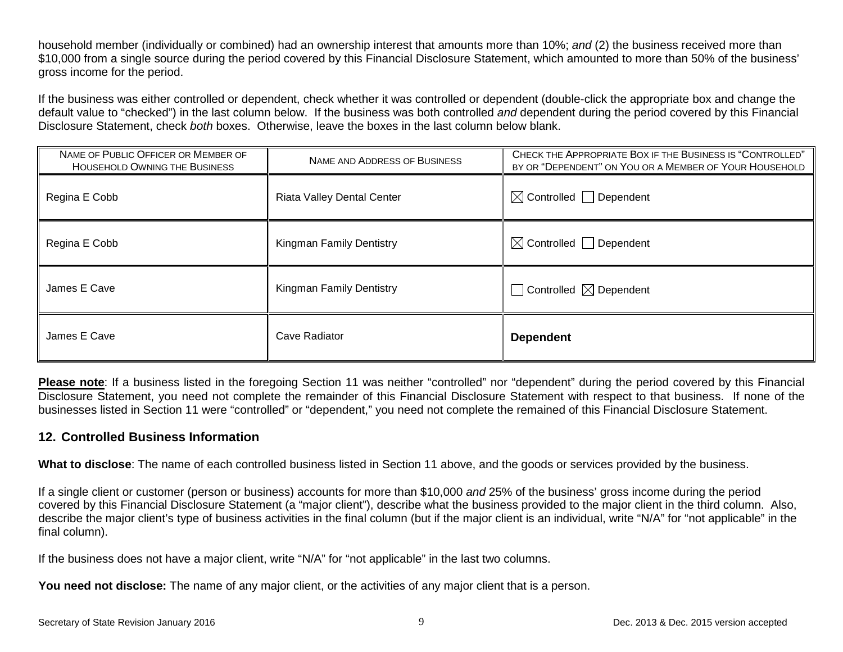household member (individually or combined) had an ownership interest that amounts more than 10%; *and* (2) the business received more than \$10,000 from a single source during the period covered by this Financial Disclosure Statement, which amounted to more than 50% of the business' gross income for the period.

If the business was either controlled or dependent, check whether it was controlled or dependent (double-click the appropriate box and change the default value to "checked") in the last column below. If the business was both controlled *and* dependent during the period covered by this Financial Disclosure Statement, check *both* boxes. Otherwise, leave the boxes in the last column below blank.

| NAME OF PUBLIC OFFICER OR MEMBER OF<br>HOUSEHOLD OWNING THE BUSINESS | NAME AND ADDRESS OF BUSINESS      | CHECK THE APPROPRIATE BOX IF THE BUSINESS IS "CONTROLLED"<br>BY OR "DEPENDENT" ON YOU OR A MEMBER OF YOUR HOUSEHOLD |
|----------------------------------------------------------------------|-----------------------------------|---------------------------------------------------------------------------------------------------------------------|
| Regina E Cobb                                                        | <b>Riata Valley Dental Center</b> | $\boxtimes$ Controlled $\Box$ Dependent                                                                             |
| Regina E Cobb                                                        | <b>Kingman Family Dentistry</b>   | $\boxtimes$ Controlled $\Box$ Dependent                                                                             |
| James E Cave                                                         | <b>Kingman Family Dentistry</b>   | $\Box$ Controlled $\boxtimes$ Dependent                                                                             |
| James E Cave                                                         | Cave Radiator                     | <b>Dependent</b>                                                                                                    |

**Please note**: If a business listed in the foregoing Section 11 was neither "controlled" nor "dependent" during the period covered by this Financial Disclosure Statement, you need not complete the remainder of this Financial Disclosure Statement with respect to that business. If none of the businesses listed in Section 11 were "controlled" or "dependent," you need not complete the remained of this Financial Disclosure Statement.

#### **12. Controlled Business Information**

**What to disclose**: The name of each controlled business listed in Section 11 above, and the goods or services provided by the business.

If a single client or customer (person or business) accounts for more than \$10,000 *and* 25% of the business' gross income during the period covered by this Financial Disclosure Statement (a "major client"), describe what the business provided to the major client in the third column. Also, describe the major client's type of business activities in the final column (but if the major client is an individual, write "N/A" for "not applicable" in the final column).

If the business does not have a major client, write "N/A" for "not applicable" in the last two columns.

**You need not disclose:** The name of any major client, or the activities of any major client that is a person.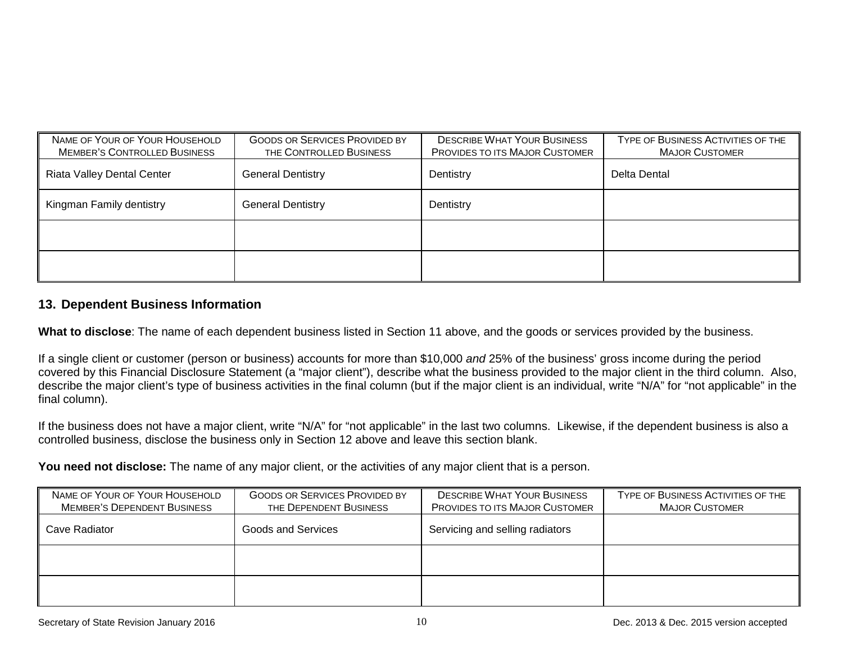| NAME OF YOUR OF YOUR HOUSEHOLD<br><b>MEMBER'S CONTROLLED BUSINESS</b> | <b>GOODS OR SERVICES PROVIDED BY</b><br>THE CONTROLLED BUSINESS | <b>DESCRIBE WHAT YOUR BUSINESS</b><br><b>PROVIDES TO ITS MAJOR CUSTOMER</b> | TYPE OF BUSINESS ACTIVITIES OF THE<br><b>MAJOR CUSTOMER</b> |
|-----------------------------------------------------------------------|-----------------------------------------------------------------|-----------------------------------------------------------------------------|-------------------------------------------------------------|
| <b>Riata Valley Dental Center</b>                                     | <b>General Dentistry</b>                                        | Dentistry                                                                   | Delta Dental                                                |
| Kingman Family dentistry                                              | <b>General Dentistry</b>                                        | Dentistry                                                                   |                                                             |
|                                                                       |                                                                 |                                                                             |                                                             |
|                                                                       |                                                                 |                                                                             |                                                             |

### **13. Dependent Business Information**

**What to disclose**: The name of each dependent business listed in Section 11 above, and the goods or services provided by the business.

If a single client or customer (person or business) accounts for more than \$10,000 *and* 25% of the business' gross income during the period covered by this Financial Disclosure Statement (a "major client"), describe what the business provided to the major client in the third column. Also, describe the major client's type of business activities in the final column (but if the major client is an individual, write "N/A" for "not applicable" in the final column).

If the business does not have a major client, write "N/A" for "not applicable" in the last two columns. Likewise, if the dependent business is also a controlled business, disclose the business only in Section 12 above and leave this section blank.

You need not disclose: The name of any major client, or the activities of any major client that is a person.

| NAME OF YOUR OF YOUR HOUSEHOLD<br><b>MEMBER'S DEPENDENT BUSINESS</b> | <b>GOODS OR SERVICES PROVIDED BY</b><br>THE DEPENDENT BUSINESS | <b>DESCRIBE WHAT YOUR BUSINESS</b><br><b>PROVIDES TO ITS MAJOR CUSTOMER</b> | TYPE OF BUSINESS ACTIVITIES OF THE<br><b>MAJOR CUSTOMER</b> |
|----------------------------------------------------------------------|----------------------------------------------------------------|-----------------------------------------------------------------------------|-------------------------------------------------------------|
| Cave Radiator                                                        | <b>Goods and Services</b>                                      | Servicing and selling radiators                                             |                                                             |
|                                                                      |                                                                |                                                                             |                                                             |
|                                                                      |                                                                |                                                                             |                                                             |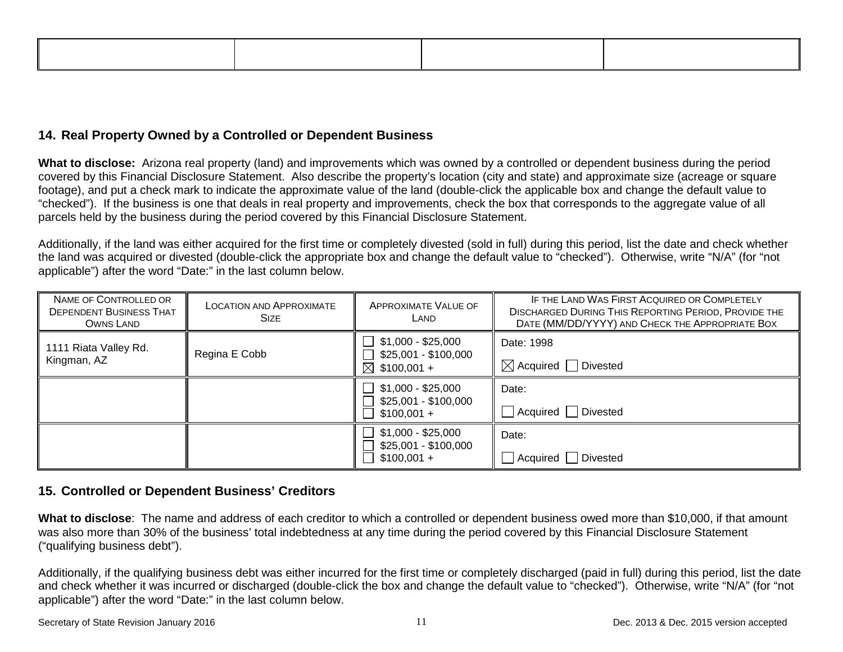## **14. Real Property Owned by a Controlled or Dependent Business**

**What to disclose:** Arizona real property (land) and improvements which was owned by a controlled or dependent business during the period covered by this Financial Disclosure Statement. Also describe the property's location (city and state) and approximate size (acreage or square footage), and put a check mark to indicate the approximate value of the land (double-click the applicable box and change the default value to "checked"). If the business is one that deals in real property and improvements, check the box that corresponds to the aggregate value of all parcels held by the business during the period covered by this Financial Disclosure Statement.

Additionally, if the land was either acquired for the first time or completely divested (sold in full) during this period, list the date and check whether the land was acquired or divested (double-click the appropriate box and change the default value to "checked"). Otherwise, write "N/A" (for "not applicable") after the word "Date:" in the last column below.

| NAME OF CONTROLLED OR<br><b>DEPENDENT BUSINESS THAT</b><br>OWNS LAND | <b>LOCATION AND APPROXIMATE</b><br><b>SIZE</b> | <b>APPROXIMATE VALUE OF</b><br>LAND                                   | IF THE LAND WAS FIRST ACQUIRED OR COMPLETELY<br><b>DISCHARGED DURING THIS REPORTING PERIOD, PROVIDE THE</b><br>DATE (MM/DD/YYYY) AND CHECK THE APPROPRIATE BOX |
|----------------------------------------------------------------------|------------------------------------------------|-----------------------------------------------------------------------|----------------------------------------------------------------------------------------------------------------------------------------------------------------|
| 1111 Riata Valley Rd.<br>Kingman, AZ                                 | Regina E Cobb                                  | \$1,000 - \$25,000<br>\$25,001 - \$100,000<br>$\boxtimes$ \$100,001 + | Date: 1998<br>$\boxtimes$ Acquired   Divested                                                                                                                  |
|                                                                      |                                                | $$1,000 - $25,000$<br>\$25,001 - \$100,000<br>$$100,001 +$            | Date:<br>Acquired Divested                                                                                                                                     |
|                                                                      |                                                | \$1,000 - \$25,000<br>\$25,001 - \$100,000<br>$$100,001 +$            | Date:<br>Acquired Divested                                                                                                                                     |

### **15. Controlled or Dependent Business' Creditors**

**What to disclose**: The name and address of each creditor to which a controlled or dependent business owed more than \$10,000, if that amount was also more than 30% of the business' total indebtedness at any time during the period covered by this Financial Disclosure Statement ("qualifying business debt").

Additionally, if the qualifying business debt was either incurred for the first time or completely discharged (paid in full) during this period, list the date and check whether it was incurred or discharged (double-click the box and change the default value to "checked"). Otherwise, write "N/A" (for "not applicable") after the word "Date:" in the last column below.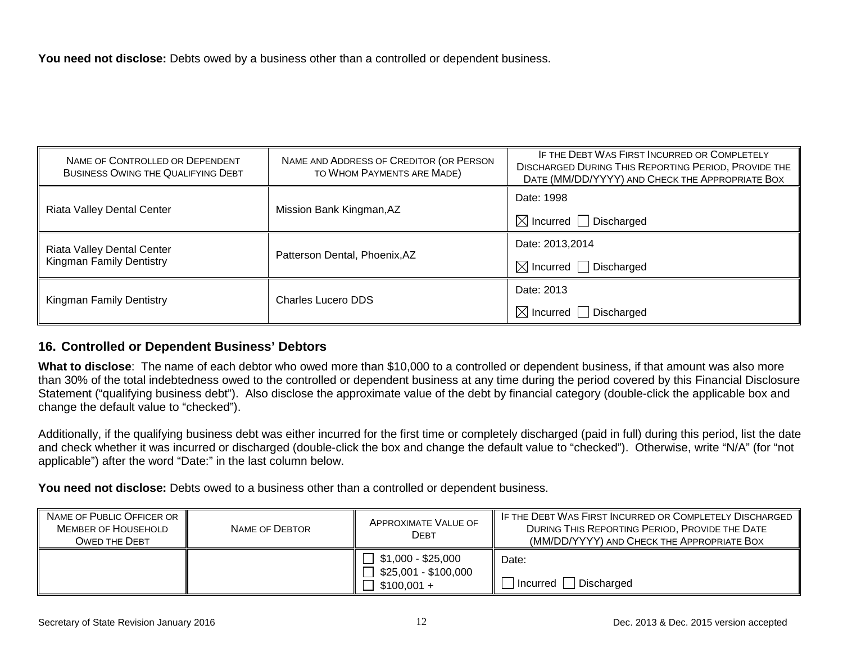You need not disclose: Debts owed by a business other than a controlled or dependent business.

| NAME OF CONTROLLED OR DEPENDENT<br>BUSINESS OWING THE QUALIFYING DEBT | NAME AND ADDRESS OF CREDITOR (OR PERSON<br>TO WHOM PAYMENTS ARE MADE) | IF THE DEBT WAS FIRST INCURRED OR COMPLETELY<br><b>DISCHARGED DURING THIS REPORTING PERIOD, PROVIDE THE</b><br>DATE (MM/DD/YYYY) AND CHECK THE APPROPRIATE BOX |
|-----------------------------------------------------------------------|-----------------------------------------------------------------------|----------------------------------------------------------------------------------------------------------------------------------------------------------------|
| <b>Riata Valley Dental Center</b>                                     | Mission Bank Kingman, AZ                                              | Date: 1998                                                                                                                                                     |
|                                                                       |                                                                       | $\boxtimes$ Incurred $\Box$ Discharged                                                                                                                         |
| <b>Riata Valley Dental Center</b>                                     | Patterson Dental, Phoenix, AZ                                         | Date: 2013,2014                                                                                                                                                |
| <b>Kingman Family Dentistry</b>                                       |                                                                       | $\boxtimes$ Incurred $\Box$ Discharged                                                                                                                         |
| <b>Kingman Family Dentistry</b>                                       | Charles Lucero DDS                                                    | Date: 2013                                                                                                                                                     |
|                                                                       |                                                                       | $\boxtimes$ Incurred $\Box$ Discharged                                                                                                                         |

### **16. Controlled or Dependent Business' Debtors**

**What to disclose**: The name of each debtor who owed more than \$10,000 to a controlled or dependent business, if that amount was also more than 30% of the total indebtedness owed to the controlled or dependent business at any time during the period covered by this Financial Disclosure Statement ("qualifying business debt"). Also disclose the approximate value of the debt by financial category (double-click the applicable box and change the default value to "checked").

Additionally, if the qualifying business debt was either incurred for the first time or completely discharged (paid in full) during this period, list the date and check whether it was incurred or discharged (double-click the box and change the default value to "checked"). Otherwise, write "N/A" (for "not applicable") after the word "Date:" in the last column below.

You need not disclose: Debts owed to a business other than a controlled or dependent business.

| NAME OF PUBLIC OFFICER OR<br><b>MEMBER OF HOUSEHOLD</b><br><b>OWED THE DEBT</b> | NAME OF DEBTOR | APPROXIMATE VALUE OF<br>Debt                                                   | IF THE DEBT WAS FIRST INCURRED OR COMPLETELY DISCHARGED<br>DURING THIS REPORTING PERIOD, PROVIDE THE DATE<br>(MM/DD/YYYY) AND CHECK THE APPROPRIATE BOX |
|---------------------------------------------------------------------------------|----------------|--------------------------------------------------------------------------------|---------------------------------------------------------------------------------------------------------------------------------------------------------|
|                                                                                 |                | $\Box$ \$1,000 - \$25,000<br>$\Box$ \$25,001 - \$100,000<br>$\Box$ \$100,001 + | Date:<br>Discharged<br>  Incurred                                                                                                                       |